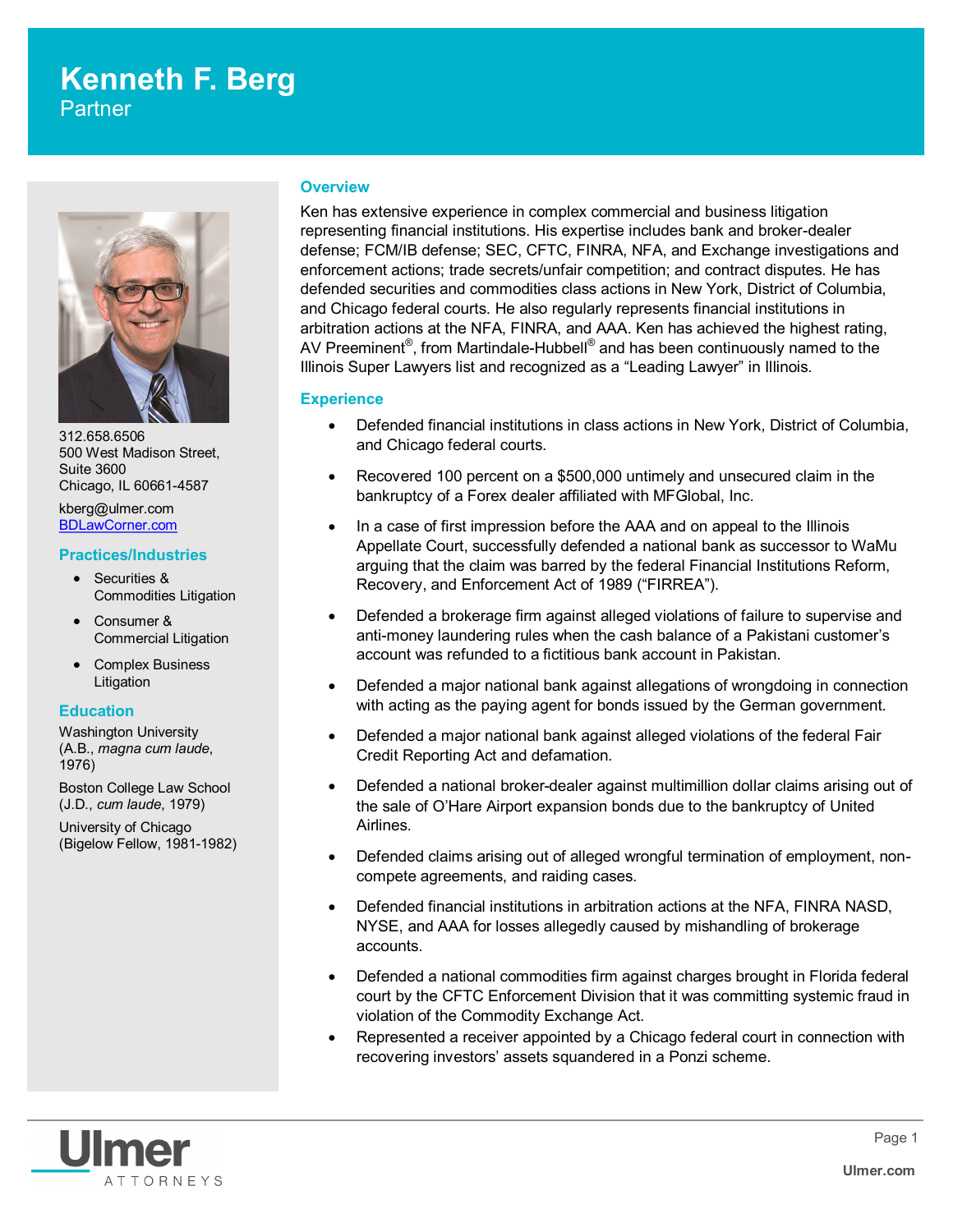# **Kenneth F. Berg**

**Partner** 



312.658.6506 500 West Madison Street, Suite 3600 Chicago, IL 60661-4587

kberg@ulmer.com [BDLawCorner.com](http://www.BDLawCorner.com)

#### **Practices/Industries**

- Securities & Commodities Litigation
- Consumer & Commercial Litigation
- Complex Business Litigation

#### **Education**

Washington University (A.B., *magna cum laude*, 1976)

Boston College Law School (J.D., *cum laude*, 1979)

University of Chicago (Bigelow Fellow, 1981-1982)

#### **Overview**

Ken has extensive experience in complex commercial and business litigation representing financial institutions. His expertise includes bank and broker-dealer defense; FCM/IB defense; SEC, CFTC, FINRA, NFA, and Exchange investigations and enforcement actions; trade secrets/unfair competition; and contract disputes. He has defended securities and commodities class actions in New York, District of Columbia, and Chicago federal courts. He also regularly represents financial institutions in arbitration actions at the NFA, FINRA, and AAA. Ken has achieved the highest rating, AV Preeminent $^\circ$ , from Martindale-Hubbell $^\circ$  and has been continuously named to the Illinois Super Lawyers list and recognized as a "Leading Lawyer" in Illinois.

#### **Experience**

- Defended financial institutions in class actions in New York, District of Columbia, and Chicago federal courts.
- Recovered 100 percent on a \$500,000 untimely and unsecured claim in the bankruptcy of a Forex dealer affiliated with MFGlobal, Inc.
- In a case of first impression before the AAA and on appeal to the Illinois Appellate Court, successfully defended a national bank as successor to WaMu arguing that the claim was barred by the federal Financial Institutions Reform, Recovery, and Enforcement Act of 1989 ("FIRREA").
- Defended a brokerage firm against alleged violations of failure to supervise and anti-money laundering rules when the cash balance of a Pakistani customer's account was refunded to a fictitious bank account in Pakistan.
- Defended a major national bank against allegations of wrongdoing in connection with acting as the paying agent for bonds issued by the German government.
- Defended a major national bank against alleged violations of the federal Fair Credit Reporting Act and defamation.
- Defended a national broker-dealer against multimillion dollar claims arising out of the sale of O'Hare Airport expansion bonds due to the bankruptcy of United Airlines.
- Defended claims arising out of alleged wrongful termination of employment, noncompete agreements, and raiding cases.
- Defended financial institutions in arbitration actions at the NFA, FINRA NASD, NYSE, and AAA for losses allegedly caused by mishandling of brokerage accounts.
- Defended a national commodities firm against charges brought in Florida federal court by the CFTC Enforcement Division that it was committing systemic fraud in violation of the Commodity Exchange Act.
- Represented a receiver appointed by a Chicago federal court in connection with recovering investors' assets squandered in a Ponzi scheme.

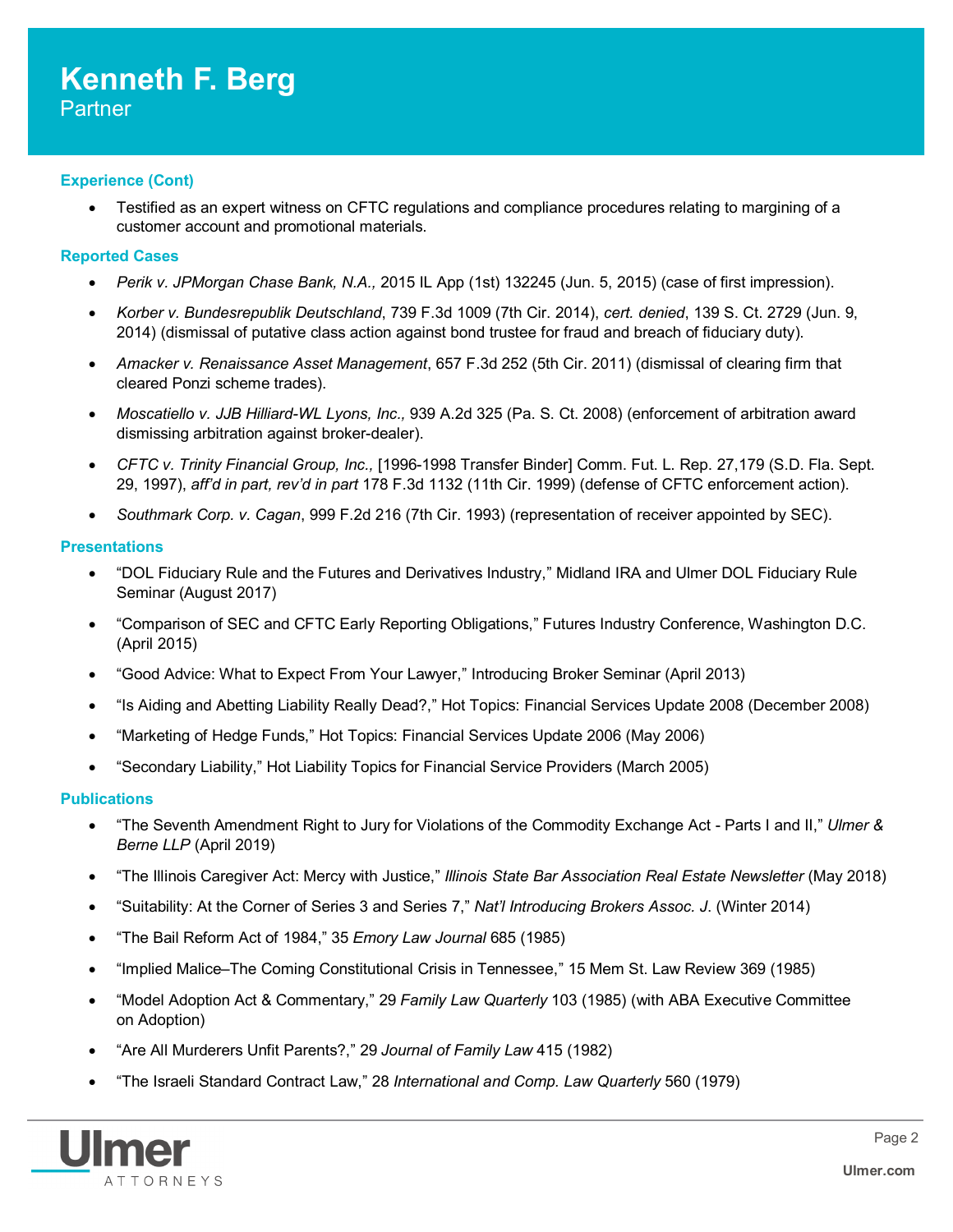# **Kenneth F. Berg** Partner

### **Experience (Cont)**

 Testified as an expert witness on CFTC regulations and compliance procedures relating to margining of a customer account and promotional materials.

#### **Reported Cases**

- *Perik v. JPMorgan Chase Bank, N.A.,* 2015 IL App (1st) 132245 (Jun. 5, 2015) (case of first impression).
- *Korber v. Bundesrepublik Deutschland*, 739 F.3d 1009 (7th Cir. 2014), *cert. denied*, 139 S. Ct. 2729 (Jun. 9, 2014) (dismissal of putative class action against bond trustee for fraud and breach of fiduciary duty).
- *Amacker v. Renaissance Asset Management*, 657 F.3d 252 (5th Cir. 2011) (dismissal of clearing firm that cleared Ponzi scheme trades).
- *Moscatiello v. JJB Hilliard-WL Lyons, Inc.,* 939 A.2d 325 (Pa. S. Ct. 2008) (enforcement of arbitration award dismissing arbitration against broker-dealer).
- *CFTC v. Trinity Financial Group, Inc.,* [1996-1998 Transfer Binder] Comm. Fut. L. Rep. 27,179 (S.D. Fla. Sept. 29, 1997), *aff'd in part, rev'd in part* 178 F.3d 1132 (11th Cir. 1999) (defense of CFTC enforcement action).
- *Southmark Corp. v. Cagan*, 999 F.2d 216 (7th Cir. 1993) (representation of receiver appointed by SEC).

#### **Presentations**

- "DOL Fiduciary Rule and the Futures and Derivatives Industry," Midland IRA and Ulmer DOL Fiduciary Rule Seminar (August 2017)
- "Comparison of SEC and CFTC Early Reporting Obligations," Futures Industry Conference, Washington D.C. (April 2015)
- "Good Advice: What to Expect From Your Lawyer," Introducing Broker Seminar (April 2013)
- "Is Aiding and Abetting Liability Really Dead?," Hot Topics: Financial Services Update 2008 (December 2008)
- "Marketing of Hedge Funds," Hot Topics: Financial Services Update 2006 (May 2006)
- "Secondary Liability," Hot Liability Topics for Financial Service Providers (March 2005)

#### **Publications**

- "The Seventh Amendment Right to Jury for Violations of the Commodity Exchange Act Parts I and II," *Ulmer & Berne LLP* (April 2019)
- "The Illinois Caregiver Act: Mercy with Justice," *Illinois State Bar Association Real Estate Newsletter* (May 2018)
- "Suitability: At the Corner of Series 3 and Series 7," *Nat'l Introducing Brokers Assoc. J*. (Winter 2014)
- "The Bail Reform Act of 1984," 35 *Emory Law Journal* 685 (1985)
- "Implied Malice–The Coming Constitutional Crisis in Tennessee," 15 Mem St. Law Review 369 (1985)
- "Model Adoption Act & Commentary," 29 *Family Law Quarterly* 103 (1985) (with ABA Executive Committee on Adoption)
- "Are All Murderers Unfit Parents?," 29 *Journal of Family Law* 415 (1982)
- "The Israeli Standard Contract Law," 28 *International and Comp. Law Quarterly* 560 (1979)